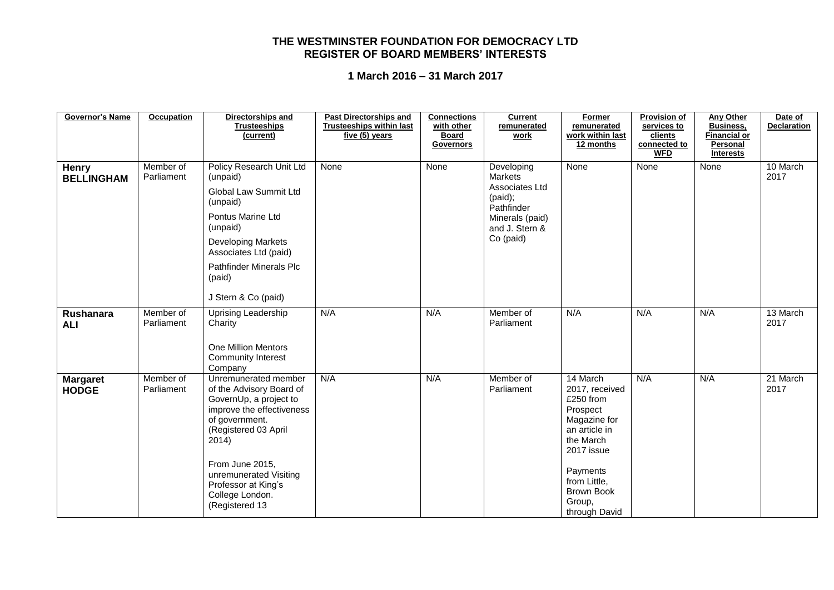| <b>Governor's Name</b>            | Occupation              | Directorships and<br><b>Trusteeships</b><br>(current)                                                                                                                                                                                                               | <b>Past Directorships and</b><br><b>Trusteeships within last</b><br>five (5) years | <b>Connections</b><br>with other<br><b>Board</b><br>Governors | <b>Current</b><br>remunerated<br>work                                                                                     | Former<br>remunerated<br>work within last<br>12 months                                                                                                                                      | <b>Provision of</b><br>services to<br>clients<br>connected to<br><b>WFD</b> | <b>Any Other</b><br><b>Business,</b><br><b>Financial or</b><br><b>Personal</b><br><b>Interests</b> | Date of<br><b>Declaration</b> |
|-----------------------------------|-------------------------|---------------------------------------------------------------------------------------------------------------------------------------------------------------------------------------------------------------------------------------------------------------------|------------------------------------------------------------------------------------|---------------------------------------------------------------|---------------------------------------------------------------------------------------------------------------------------|---------------------------------------------------------------------------------------------------------------------------------------------------------------------------------------------|-----------------------------------------------------------------------------|----------------------------------------------------------------------------------------------------|-------------------------------|
| <b>Henry</b><br><b>BELLINGHAM</b> | Member of<br>Parliament | Policy Research Unit Ltd<br>(unpaid)<br>Global Law Summit Ltd<br>(unpaid)<br>Pontus Marine Ltd<br>(unpaid)<br><b>Developing Markets</b><br>Associates Ltd (paid)<br><b>Pathfinder Minerals Plc</b><br>(paid)<br>J Stern & Co (paid)                                 | None                                                                               | None                                                          | Developing<br><b>Markets</b><br>Associates Ltd<br>(paid);<br>Pathfinder<br>Minerals (paid)<br>and J. Stern &<br>Co (paid) | None                                                                                                                                                                                        | None                                                                        | None                                                                                               | 10 March<br>2017              |
| Rushanara<br><b>ALI</b>           | Member of<br>Parliament | Uprising Leadership<br>Charity<br><b>One Million Mentors</b><br><b>Community Interest</b><br>Company                                                                                                                                                                | N/A                                                                                | N/A                                                           | Member of<br>Parliament                                                                                                   | N/A                                                                                                                                                                                         | N/A                                                                         | N/A                                                                                                | 13 March<br>2017              |
| <b>Margaret</b><br><b>HODGE</b>   | Member of<br>Parliament | Unremunerated member<br>of the Advisory Board of<br>GovernUp, a project to<br>improve the effectiveness<br>of government.<br>(Registered 03 April<br>2014)<br>From June 2015,<br>unremunerated Visiting<br>Professor at King's<br>College London.<br>(Registered 13 | N/A                                                                                | N/A                                                           | Member of<br>Parliament                                                                                                   | 14 March<br>2017, received<br>£250 from<br>Prospect<br>Magazine for<br>an article in<br>the March<br>2017 issue<br>Payments<br>from Little,<br><b>Brown Book</b><br>Group,<br>through David | N/A                                                                         | N/A                                                                                                | 21 March<br>2017              |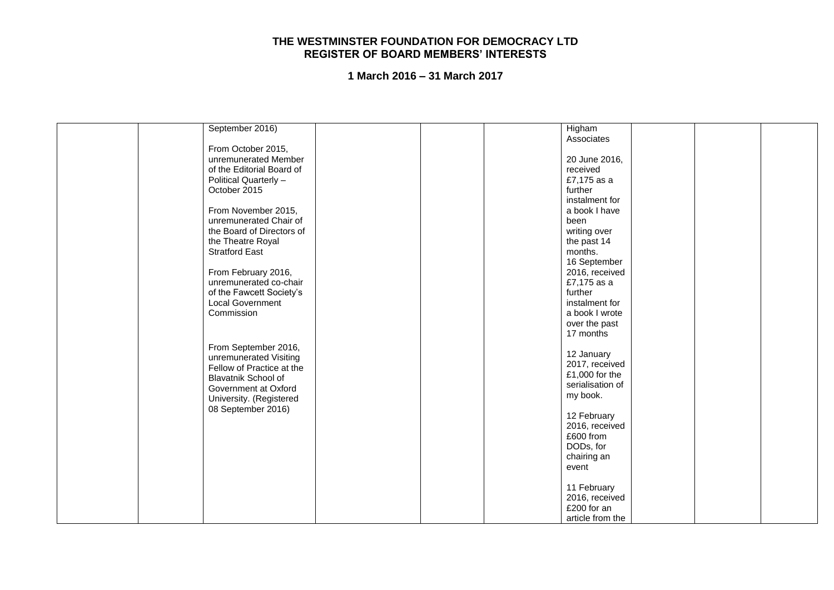|  | September 2016)           |  | Higham           |  |  |
|--|---------------------------|--|------------------|--|--|
|  |                           |  | Associates       |  |  |
|  | From October 2015,        |  |                  |  |  |
|  | unremunerated Member      |  | 20 June 2016,    |  |  |
|  | of the Editorial Board of |  | received         |  |  |
|  | Political Quarterly -     |  | £7,175 as a      |  |  |
|  | October 2015              |  | further          |  |  |
|  |                           |  | instalment for   |  |  |
|  | From November 2015,       |  | a book I have    |  |  |
|  |                           |  |                  |  |  |
|  | unremunerated Chair of    |  | been             |  |  |
|  | the Board of Directors of |  | writing over     |  |  |
|  | the Theatre Royal         |  | the past 14      |  |  |
|  | <b>Stratford East</b>     |  | months.          |  |  |
|  |                           |  | 16 September     |  |  |
|  | From February 2016,       |  | 2016, received   |  |  |
|  | unremunerated co-chair    |  | £7,175 as a      |  |  |
|  | of the Fawcett Society's  |  | further          |  |  |
|  | <b>Local Government</b>   |  | instalment for   |  |  |
|  | Commission                |  | a book I wrote   |  |  |
|  |                           |  | over the past    |  |  |
|  |                           |  | 17 months        |  |  |
|  |                           |  |                  |  |  |
|  | From September 2016,      |  | 12 January       |  |  |
|  | unremunerated Visiting    |  | 2017, received   |  |  |
|  | Fellow of Practice at the |  | £1,000 for the   |  |  |
|  | Blavatnik School of       |  | serialisation of |  |  |
|  | Government at Oxford      |  | my book.         |  |  |
|  | University. (Registered   |  |                  |  |  |
|  | 08 September 2016)        |  | 12 February      |  |  |
|  |                           |  | 2016, received   |  |  |
|  |                           |  | £600 from        |  |  |
|  |                           |  |                  |  |  |
|  |                           |  | DODs, for        |  |  |
|  |                           |  | chairing an      |  |  |
|  |                           |  | event            |  |  |
|  |                           |  |                  |  |  |
|  |                           |  | 11 February      |  |  |
|  |                           |  | 2016, received   |  |  |
|  |                           |  | £200 for an      |  |  |
|  |                           |  | article from the |  |  |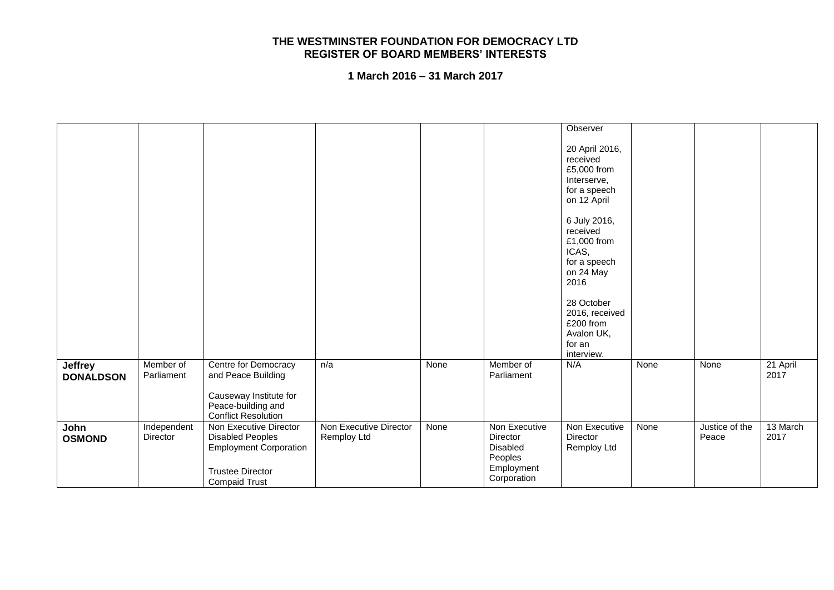|                                    |                         |                                                                                                                                       |                                       |      |                                                                                      | Observer                                                                                |      |                         |                  |
|------------------------------------|-------------------------|---------------------------------------------------------------------------------------------------------------------------------------|---------------------------------------|------|--------------------------------------------------------------------------------------|-----------------------------------------------------------------------------------------|------|-------------------------|------------------|
|                                    |                         |                                                                                                                                       |                                       |      |                                                                                      | 20 April 2016,<br>received<br>£5,000 from<br>Interserve,<br>for a speech<br>on 12 April |      |                         |                  |
|                                    |                         |                                                                                                                                       |                                       |      |                                                                                      | 6 July 2016,<br>received<br>£1,000 from<br>ICAS,<br>for a speech<br>on 24 May<br>2016   |      |                         |                  |
|                                    |                         |                                                                                                                                       |                                       |      |                                                                                      | 28 October<br>2016, received<br>£200 from<br>Avalon UK,<br>for an<br>interview.         |      |                         |                  |
| <b>Jeffrey</b><br><b>DONALDSON</b> | Member of<br>Parliament | Centre for Democracy<br>and Peace Building<br>Causeway Institute for<br>Peace-building and<br><b>Conflict Resolution</b>              | n/a                                   | None | Member of<br>Parliament                                                              | N/A                                                                                     | None | None                    | 21 April<br>2017 |
| John<br><b>OSMOND</b>              | Independent<br>Director | Non Executive Director<br><b>Disabled Peoples</b><br><b>Employment Corporation</b><br><b>Trustee Director</b><br><b>Compaid Trust</b> | Non Executive Director<br>Remploy Ltd | None | Non Executive<br><b>Director</b><br>Disabled<br>Peoples<br>Employment<br>Corporation | Non Executive<br><b>Director</b><br>Remploy Ltd                                         | None | Justice of the<br>Peace | 13 March<br>2017 |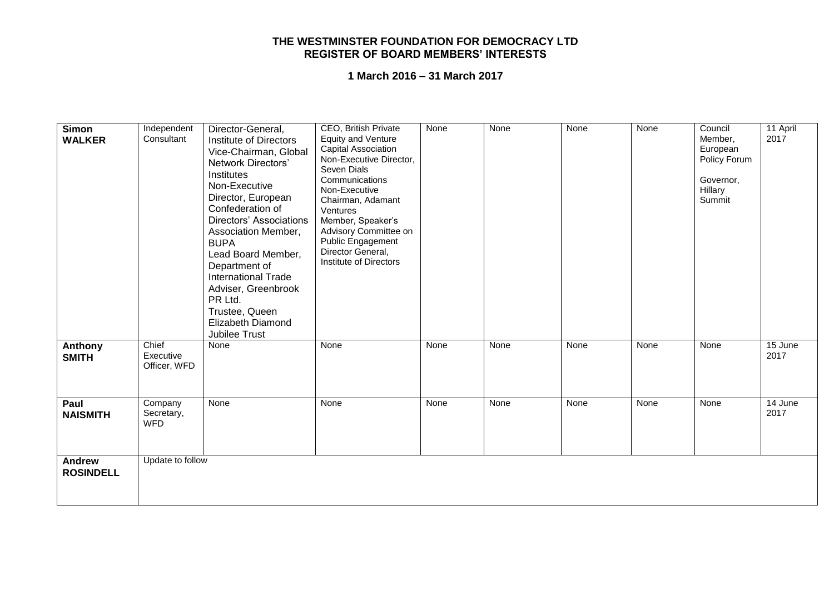| Simon<br><b>WALKER</b>            | Independent<br>Consultant           | Director-General,<br>Institute of Directors<br>Vice-Chairman, Global<br>Network Directors'<br>Institutes<br>Non-Executive<br>Director, European<br>Confederation of<br><b>Directors' Associations</b><br>Association Member,<br><b>BUPA</b><br>Lead Board Member,<br>Department of<br><b>International Trade</b><br>Adviser, Greenbrook<br>PR Ltd.<br>Trustee, Queen<br><b>Elizabeth Diamond</b><br>Jubilee Trust | CEO, British Private<br><b>Equity and Venture</b><br>Capital Association<br>Non-Executive Director,<br>Seven Dials<br>Communications<br>Non-Executive<br>Chairman, Adamant<br>Ventures<br>Member, Speaker's<br>Advisory Committee on<br>Public Engagement<br>Director General,<br><b>Institute of Directors</b> | None | None | None | None | Council<br>Member,<br>European<br>Policy Forum<br>Governor,<br>Hillary<br>Summit | 11 April<br>2017 |
|-----------------------------------|-------------------------------------|-------------------------------------------------------------------------------------------------------------------------------------------------------------------------------------------------------------------------------------------------------------------------------------------------------------------------------------------------------------------------------------------------------------------|-----------------------------------------------------------------------------------------------------------------------------------------------------------------------------------------------------------------------------------------------------------------------------------------------------------------|------|------|------|------|----------------------------------------------------------------------------------|------------------|
| Anthony<br><b>SMITH</b>           | Chief<br>Executive<br>Officer, WFD  | None                                                                                                                                                                                                                                                                                                                                                                                                              | None                                                                                                                                                                                                                                                                                                            | None | None | None | None | None                                                                             | 15 June<br>2017  |
| Paul<br><b>NAISMITH</b>           | Company<br>Secretary,<br><b>WFD</b> | None                                                                                                                                                                                                                                                                                                                                                                                                              | None                                                                                                                                                                                                                                                                                                            | None | None | None | None | None                                                                             | 14 June<br>2017  |
| <b>Andrew</b><br><b>ROSINDELL</b> | Update to follow                    |                                                                                                                                                                                                                                                                                                                                                                                                                   |                                                                                                                                                                                                                                                                                                                 |      |      |      |      |                                                                                  |                  |